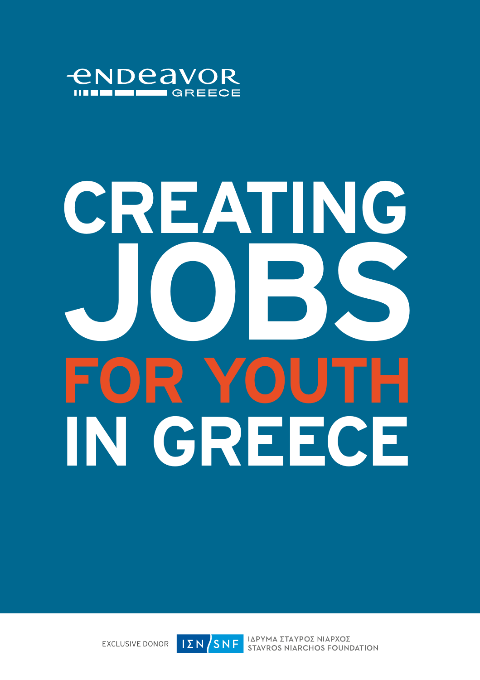

# **CREATING JOBS FOR YOUTH IN GREECE**

EXCLUSIVE DONOR



ΙΔΡΥΜΑ ΣΤΑΥΡΟΣ ΝΙΑΡΧΟΣ **STAVROS NIARCHOS FOUNDATION**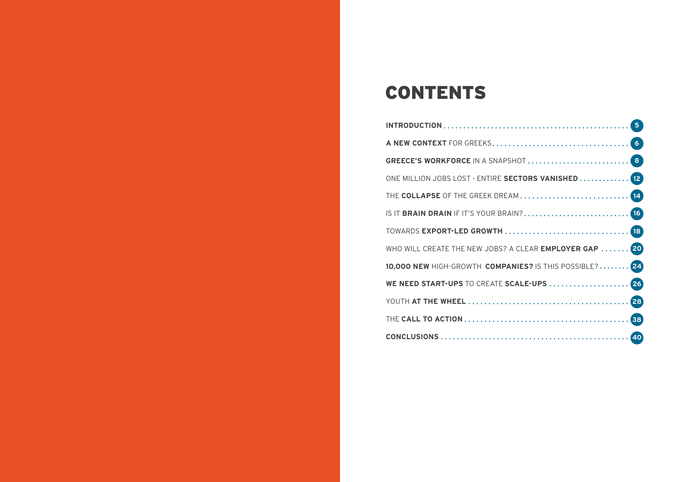### CONTENTS

| ONE MILLION JOBS LOST - ENTIRE SECTORS VANISHED  [12]  |  |
|--------------------------------------------------------|--|
|                                                        |  |
|                                                        |  |
|                                                        |  |
| WHO WILL CREATE THE NEW JOBS? A CLEAR EMPLOYER GAP  20 |  |
| 10,000 NEW HIGH-GROWTH COMPANIES? IS THIS POSSIBLE? 24 |  |
| WE NEED START-UPS TO CREATE SCALE-UPS  26              |  |
|                                                        |  |
|                                                        |  |
|                                                        |  |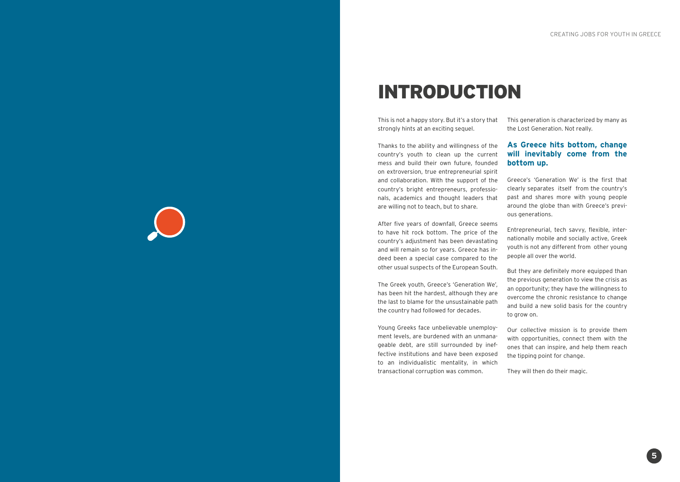### INTRODUCTION

This is not a happy story. But it's a story that strongly hints at an exciting sequel.

Thanks to the ability and willingness of the country's youth to clean up the current mess and build their own future, founded on extroversion, true entrepreneurial spirit and collaboration. With the support of the country's bright entrepreneurs, professionals, academics and thought leaders that are willing not to teach, but to share.

After five years of downfall, Greece seems to have hit rock bottom. The price of the country's adjustment has been devastating and will remain so for years. Greece has indeed been a special case compared to the other usual suspects of the European South.

The Greek youth, Greece's 'Generation We', has been hit the hardest, although they are the last to blame for the unsustainable path the country had followed for decades.

Young Greeks face unbelievable unemployment levels, are burdened with an unmanageable debt, are still surrounded by ineffective institutions and have been exposed to an individualistic mentality, in which transactional corruption was common.

This generation is characterized by many as the Lost Generation. Not really.

#### **As Greece hits bottom, change will inevitably come from the bottom up.**

Greece's 'Generation We' is the first that clearly separates itself from the country's past and shares more with young people around the globe than with Greece's previous generations.

Entrepreneurial, tech savvy, flexible, internationally mobile and socially active, Greek youth is not any different from other young people all over the world.

But they are definitely more equipped than the previous generation to view the crisis as an opportunity; they have the willingness to overcome the chronic resistance to change and build a new solid basis for the country to grow on.

Our collective mission is to provide them with opportunities, connect them with the ones that can inspire, and help them reach the tipping point for change.

They will then do their magic.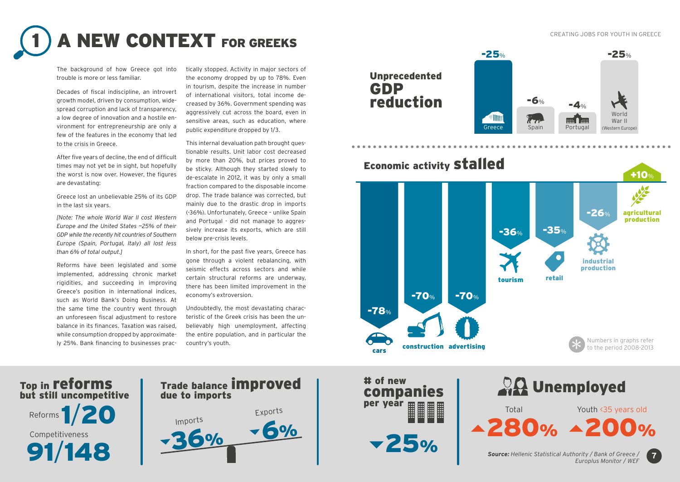CREATING JOBS FOR YOUTH IN GREECE

## **A NEW CONTEXT FOR GREEKS**

The background of how Greece got into trouble is more or less familiar.

Decades of fiscal indiscipline, an introvert growth model, driven by consumption, widespread corruption and lack of transparency, a low degree of innovation and a hostile environment for entrepreneurship are only a few of the features in the economy that led to the crisis in Greece.

After five years of decline, the end of difficult times may not yet be in sight, but hopefully the worst is now over. However, the figures are devastating:

Greece lost an unbelievable 25% of its GDP in the last six years.

*[Note: The whole World War II cost Western Europe and the United States ~25% of their GDP while the recently hit countries of Southern Europe (Spain, Portugal, Italy) all lost less than 6% of total output.]*

Reforms have been legislated and some implemented, addressing chronic market rigidities, and succeeding in improving Greece's position in international indices, such as World Bank's Doing Business. At the same time the country went through an unforeseen fiscal adjustment to restore balance in its finances. Taxation was raised, while consumption dropped by approximately 25%. Bank financing to businesses prac-

Top in reforms

Reforms **1/20** 

91/148

Competitiveness

tically stopped. Activity in major sectors of the economy dropped by up to 78%. Even in tourism, despite the increase in number of international visitors, total income decreased by 36%. Government spending was aggressively cut across the board, even in sensitive areas, such as education, where public expenditure dropped by 1/3.

This internal devaluation path brought questionable results. Unit labor cost decreased by more than 20%, but prices proved to be sticky. Although they started slowly to de-escalate in 2012, it was by only a small fraction compared to the disposable income drop. The trade balance was corrected, but mainly due to the drastic drop in imports (-36%). Unfortunately, Greece – unlike Spain and Portugal - did not manage to aggressively increase its exports, which are still below pre-crisis levels.

In short, for the past five years, Greece has gone through a violent rebalancing, with seismic effects across sectors and while certain structural reforms are underway, there has been limited improvement in the economy's extroversion.

Undoubtedly, the most devastating characteristic of the Greek crisis has been the unbelievably high unemployment, affecting the entire population, and in particular the country's youth.











Total Youth <35 years old

*Source: Hellenic Statistical Authority / Bank of Greece / Europlus Monitor / WEF*

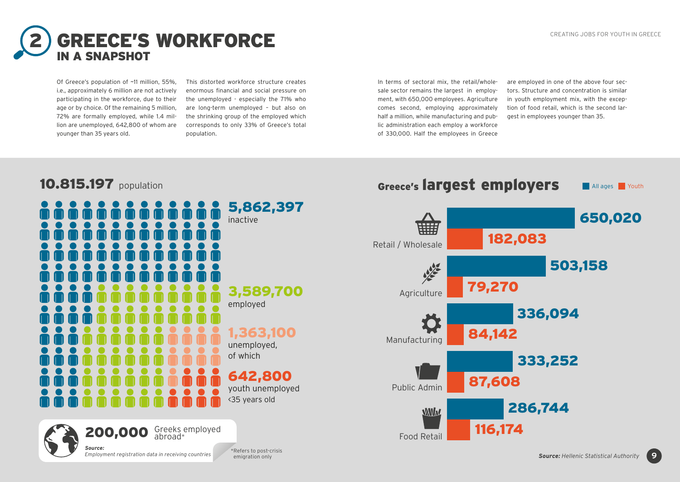650,020

**All ages Prouth** 

**9**



Of Greece's population of ~11 million, 55%, i.e., approximately 6 million are not actively participating in the workforce, due to their age or by choice. Of the remaining 5 million, 72% are formally employed, while 1.4 million are unemployed, 642,800 of whom are younger than 35 years old.

This distorted workforce structure creates enormous financial and social pressure on the unemployed - especially the 71% who are long-term unemployed – but also on the shrinking group of the employed which corresponds to only 33% of Greece's total population.

In terms of sectoral mix, the retail/wholesale sector remains the largest in employment, with 650,000 employees. Agriculture comes second, employing approximately half a million, while manufacturing and public administration each employ a workforce of 330,000. Half the employees in Greece are employed in one of the above four sectors. Structure and concentration is similar in youth employment mix, with the exception of food retail, which is the second largest in employees younger than 35.

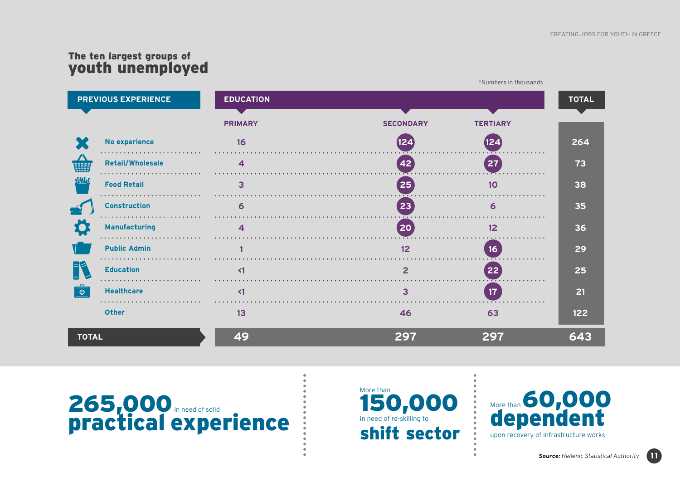### The ten largest groups of youth unemployed





More than 150,000 in need of re-skilling to shift sector



**11**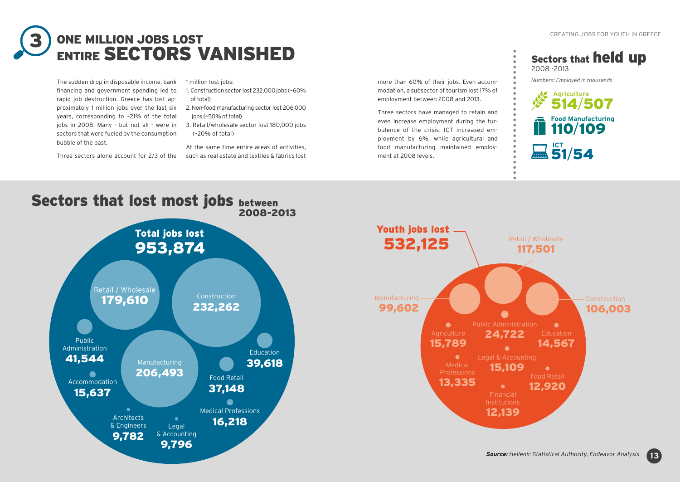

The sudden drop in disposable income, bank financing and government spending led to rapid job destruction. Greece has lost approximately 1 million jobs over the last six years, corresponding to ~21% of the total jobs in 2008. Many - but not all - were in sectors that were fueled by the consumption bubble of the past.

Three sectors alone account for 2/3 of the

1 million lost jobs:

- 1. Construction sector lost 232,000 jobs (~60% of total)
- 2. Non-food manufacturing sector lost 206,000 jobs (~50% of total)
- 3. Retail/wholesale sector lost 180,000 jobs (~20% of total)

At the same time entire areas of activities, such as real estate and textiles & fabrics lost

more than 60% of their jobs. Even accommodation, a subsector of tourism lost 17% of employment between 2008 and 2013.

Three sectors have managed to retain and even increase employment during the turbulence of the crisis. ICT increased employment by 6%, while agricultural and food manufacturing maintained employment at 2008 levels.

### Sectors that held up 2008 -2013

*Numbers: Employed in thousands*





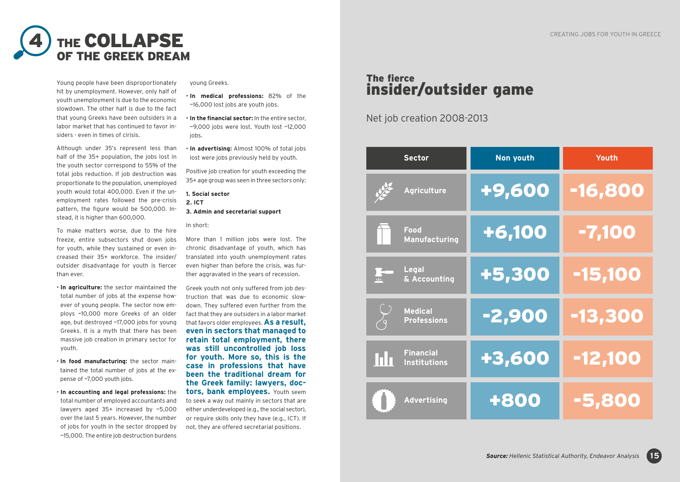

Young people have been disproportionately hit by unemployment. However, only half of youth unemployment is due to the economic slowdown. The other half is due to the fact that young Greeks have been outsiders in a labor market that has continued to favor insiders - even in times of cirisis.

Although under 35's represent less than half of the 35+ population, the jobs lost in the youth sector correspond to 55% of the total jobs reduction. If job destruction was proportionate to the population, unemployed youth would total 400,000. Even if the unemployment rates followed the pre-crisis pattern, the figure would be 500,000. Instead, it is higher than 600,000.

To make matters worse, due to the hire freeze, entire subsectors shut down jobs for youth, while they sustained or even increased their 35+ workforce. The insider/ outsider disadvantage for youth is fiercer than ever.

• **In agriculture:** the sector maintained the total number of jobs at the expense however of young people. The sector now employs ~10,000 more Greeks of an older age, but destroyed ~17,000 jobs for young Greeks. It is a myth that there has been massive job creation in primary sector for youth.

• **In food manufacturing:** the sector maintained the total number of jobs at the expense of ~7,000 youth jobs.

• **In accounting and legal professions:** the total number of employed accountants and lawyers aged 35+ increased by ~5,000 over the last 5 years. However, the number of jobs for youth in the sector dropped by ~15,000. The entire job destruction burdens

young Greeks.

• **In medical professions:** 82% of the ~16,000 lost jobs are youth jobs.

• **In the financial sector:** In the entire sector, ~9,000 jobs were lost. Youth lost ~12,000 jobs.

• **In advertising:** Almost 100% of total jobs lost were jobs previously held by youth.

Positive job creation for youth exceeding the 35+ age group was seen in three sectors only:

**1. Social sector 2. ICT 3. Admin and secretarial support**

#### In short:

More than 1 million jobs were lost. The chronic disadvantage of youth, which has translated into youth unemployment rates even higher than before the crisis, was further aggravated in the years of recession.

Greek youth not only suffered from job destruction that was due to economic slowdown. They suffered even further from the fact that they are outsiders in a labor market that favors older employees. **As a result, even in sectors that managed to retain total employment, there was still uncontrolled job loss for youth. More so, this is the case in professions that have been the traditional dream for the Greek family: lawyers, doctors, bank employees.** Youth seem to seek a way out mainly in sectors that are either underdeveloped (e.g., the social sector), or require skills only they have (e.g., ICT). If not, they are offered secretarial positions.

### The fierce insider/outsider game

Net job creation 2008-2013

| <b>Sector</b>                                 | Non youth | Youth     |
|-----------------------------------------------|-----------|-----------|
| <b>Agriculture</b>                            | +9,600    | -16,800   |
| Food<br>Manufacturing                         | +6,100    | -7,100    |
| <b>Legal</b><br>$\frac{1}{2}$<br>& Accounting | +5,300    | -15,100   |
| <b>Medical</b><br><b>Professions</b>          | -2,900    | -13,300   |
| <b>Financial</b><br>l i h<br>Institutions     | +3,600    | $-12,100$ |
| <b>Advertising</b>                            | +800      | $-5,80$   |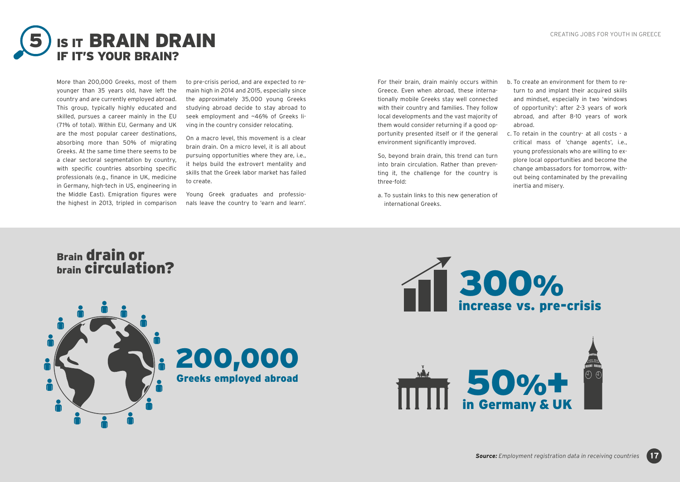

More than 200,000 Greeks, most of them younger than 35 years old, have left the country and are currently employed abroad. This group, typically highly educated and skilled, pursues a career mainly in the EU (71% of total). Within EU, Germany and UK are the most popular career destinations, absorbing more than 50% of migrating Greeks. At the same time there seems to be a clear sectoral segmentation by country, with specific countries absorbing specific professionals (e.g., finance in UK, medicine in Germany, high-tech in US, engineering in the Middle East). Emigration figures were the highest in 2013, tripled in comparison to pre-crisis period, and are expected to remain high in 2014 and 2015, especially since the approximately 35,000 young Greeks studying abroad decide to stay abroad to seek employment and ~46% of Greeks living in the country consider relocating.

On a macro level, this movement is a clear brain drain. On a micro level, it is all about pursuing opportunities where they are, i.e., it helps build the extrovert mentality and skills that the Greek labor market has failed to create.

Young Greek graduates and professionals leave the country to 'earn and learn'. For their brain, drain mainly occurs within Greece. Even when abroad, these internationally mobile Greeks stay well connected with their country and families. They follow local developments and the vast majority of them would consider returning if a good opportunity presented itself or if the general environment significantly improved.

So, beyond brain drain, this trend can turn into brain circulation. Rather than preventing it, the challenge for the country is three-fold:

a. To sustain links to this new generation of international Greeks.

b. To create an environment for them to return to and implant their acquired skills and mindset, especially in two 'windows of opportunity': after 2-3 years of work abroad, and after 8-10 years of work abroad.

c. To retain in the country- at all costs - a critical mass of 'change agents', i.e., young professionals who are willing to explore local opportunities and become the change ambassadors for tomorrow, without being contaminated by the prevailing inertia and misery.









in Germany & UK 50%+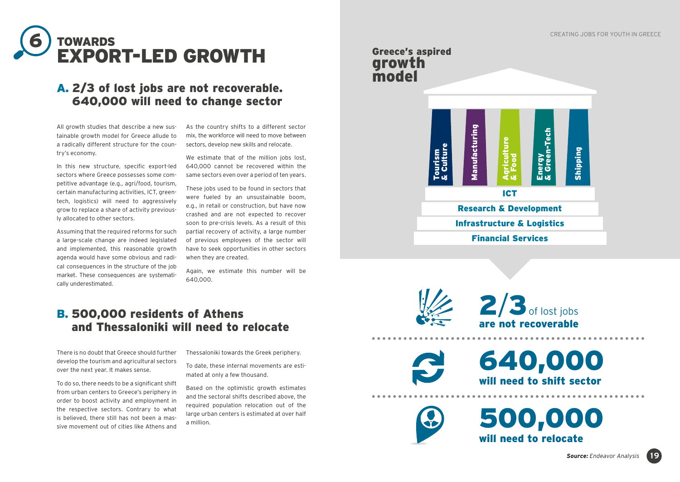

### A. 2/3 of lost jobs are not recoverable. 640,000 will need to change sector

All growth studies that describe a new sustainable growth model for Greece allude to a radically different structure for the country's economy.

In this new structure, specific export-led sectors where Greece possesses some competitive advantage (e.g., agri/food, tourism, certain manufacturing activities, ICT, greentech, logistics) will need to aggressively grow to replace a share of activity previously allocated to other sectors.

Assuming that the required reforms for such a large-scale change are indeed legislated and implemented, this reasonable growth agenda would have some obvious and radical consequences in the structure of the job market. These consequences are systematically underestimated.

As the country shifts to a different sector mix, the workforce will need to move between sectors, develop new skills and relocate.

We estimate that of the million jobs lost, 640,000 cannot be recovered within the same sectors even over a period of ten years.

These jobs used to be found in sectors that were fueled by an unsustainable boom, e.g., in retail or construction, but have now crashed and are not expected to recover soon to pre-crisis levels. As a result of this partial recovery of activity, a large number of previous employees of the sector will have to seek opportunities in other sectors when they are created.

Again, we estimate this number will be 640,000.

### B. 500,000 residents of Athens and Thessaloniki will need to relocate

There is no doubt that Greece should further develop the tourism and agricultural sectors over the next year. It makes sense.

To do so, there needs to be a significant shift from urban centers to Greece's periphery in order to boost activity and employment in the respective sectors. Contrary to what is believed, there still has not been a massive movement out of cities like Athens and Thessaloniki towards the Greek periphery.

To date, these internal movements are estimated at only a few thousand.

Based on the optimistic growth estimates and the sectoral shifts described above, the required population relocation out of the large urban centers is estimated at over half a million.

### Greece's aspired growth model





are not recoverable  $2/3$  of lost jobs

will need to shift sector 640,000

will need to relocate 500,000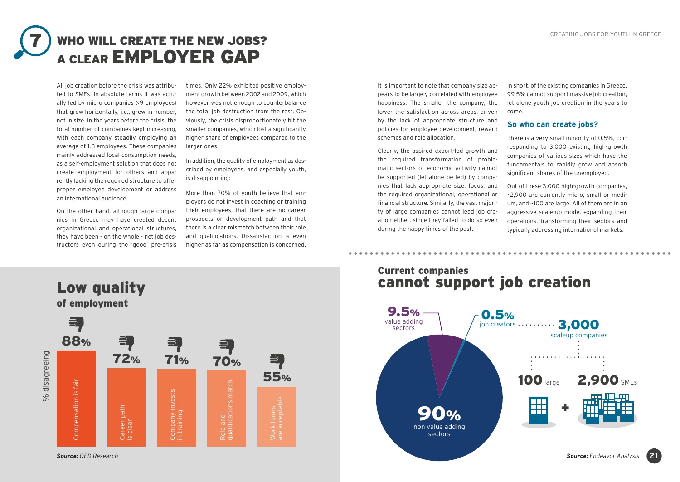### WHO WILL CREATE THE NEW JOBS? A CLEAR **EMPLOYER GAP** 7

All job creation before the crisis was attributed to SMEs. In absolute terms it was actually led by micro companies (<9 employees) that grew horizontally, i.e., grew in number, not in size. In the years before the crisis, the total number of companies kept increasing, with each company steadily employing an average of 1.8 employees. These companies mainly addressed local consumption needs, as a self-employment solution that does not create employment for others and apparently lacking the required structure to offer proper employee development or address an international audience.

On the other hand, although large companies in Greece may have created decent organizational and operational structures, they have been - on the whole - net job destructors even during the 'good' pre-crisis

times. Only 22% exhibited positive employment growth between 2002 and 2009, which however was not enough to counterbalance the total job destruction from the rest. Obviously, the crisis disproportionately hit the smaller companies, which lost a significantly higher share of employees compared to the larger ones.

In addition, the quality of employment as described by employees, and especially youth, is disappointing:

More than 70% of youth believe that employers do not invest in coaching or training their employees, that there are no career prospects or development path and that there is a clear mismatch between their role and qualifications. Dissatisfaction is even higher as far as compensation is concerned.

It is important to note that company size appears to be largely correlated with employee happiness. The smaller the company, the lower the satisfaction across areas, driven by the lack of appropriate structure and policies for employee development, reward schemes and role allocation.

Clearly, the aspired export-led growth and the required transformation of problematic sectors of economic activity cannot be supported (let alone be led) by companies that lack appropriate size, focus, and the required organizational, operational or financial structure. Similarly, the vast majority of large companies cannot lead job creation either, since they failed to do so even during the happy times of the past.

In short, of the existing companies in Greece, 99.5% cannot support massive job creation, let alone youth job creation in the years to come.

#### **So who can create jobs?**

There is a very small minority of 0.5%, corresponding to 3,000 existing high-growth companies of various sizes which have the fundamentals to rapidly grow and absorb significant shares of the unemployed.

Out of these 3,000 high-growth companies, ~2,900 are currently micro, small or medium, and ~100 are large. All of them are in an aggressive scale-up mode, expanding their operations, transforming their sectors and typically addressing international markets.

### Current companies cannot support job creation



### Low quality of employment 을,

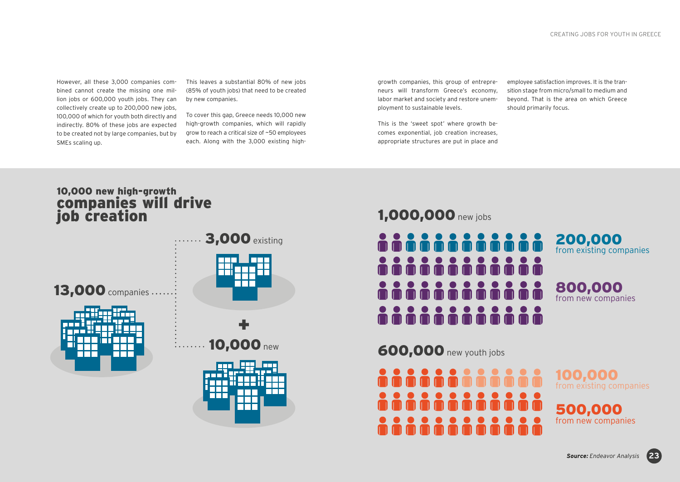However, all these 3,000 companies combined cannot create the missing one million jobs or 600,000 youth jobs. They can collectively create up to 200,000 new jobs, 100,000 of which for youth both directly and indirectly. 80% of these jobs are expected to be created not by large companies, but by SMEs scaling up.

This leaves a substantial 80% of new jobs (85% of youth jobs) that need to be created by new companies.

To cover this gap, Greece needs 10,000 new high-growth companies, which will rapidly grow to reach a critical size of ~50 employees each. Along with the 3,000 existing highgrowth companies, this group of entrepreneurs will transform Greece's economy, labor market and society and restore unemployment to sustainable levels.

This is the 'sweet spot' where growth becomes exponential, job creation increases, appropriate structures are put in place and

employee satisfaction improves. It is the transition stage from micro/small to medium and beyond. That is the area on which Greece should primarily focus.

### 10,000 new high-growth companies will drive job creation



### 1,000,000 new jobs



600,000 new youth jobs



100,000 from existing companies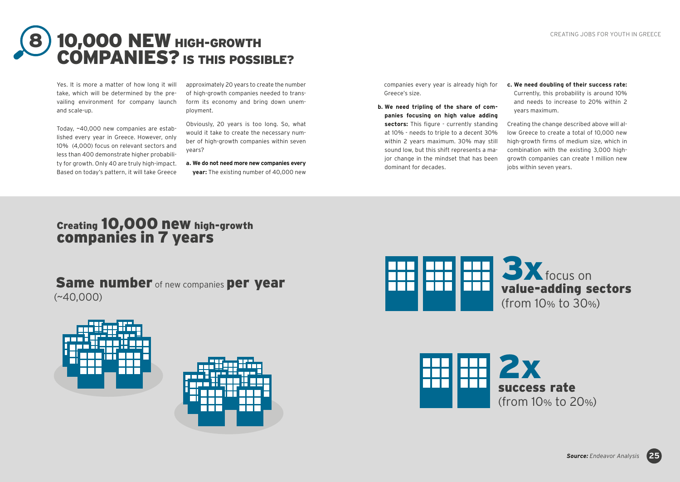

Yes. It is more a matter of how long it will take, which will be determined by the prevailing environment for company launch and scale-up.

Today, ~40,000 new companies are established every year in Greece. However, only 10% (4,000) focus on relevant sectors and less than 400 demonstrate higher probability for growth. Only 40 are truly high-impact. Based on today's pattern, it will take Greece

approximately 20 years to create the number of high-growth companies needed to transform its economy and bring down unemployment.

Obviously, 20 years is too long. So, what would it take to create the necessary number of high-growth companies within seven years?

**a. We do not need more new companies every year:** The existing number of 40,000 new companies every year is already high for Greece's size.

- **b. We need tripling of the share of companies focusing on high value adding**  sectors: This figure - currently standing at 10% - needs to triple to a decent 30% within 2 years maximum. 30% may still sound low, but this shift represents a major change in the mindset that has been dominant for decades.
- **c. We need doubling of their success rate:** Currently, this probability is around 10% and needs to increase to 20% within 2 years maximum.

Creating the change described above will allow Greece to create a total of 10,000 new high-growth firms of medium size, which in combination with the existing 3,000 highgrowth companies can create 1 million new jobs within seven years.

### Creating 10,000 new high-growth companies in 7 years

Same number of new companies per year (~40,000)







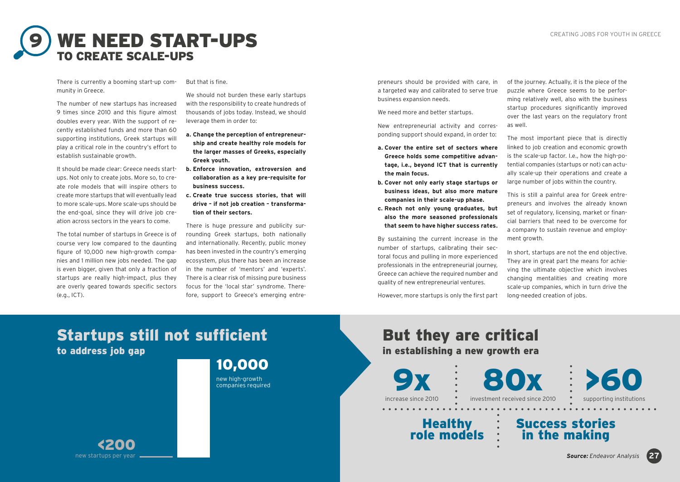

There is currently a booming start-up community in Greece.

The number of new startups has increased 9 times since 2010 and this figure almost doubles every year. With the support of recently established funds and more than 60 supporting institutions, Greek startups will play a critical role in the country's effort to establish sustainable growth.

It should be made clear: Greece needs startups. Not only to create jobs. More so, to create role models that will inspire others to create more startups that will eventually lead to more scale-ups. More scale-ups should be the end-goal, since they will drive job creation across sectors in the years to come.

The total number of startups in Greece is of course very low compared to the daunting figure of 10,000 new high-growth companies and 1 million new jobs needed. The gap is even bigger, given that only a fraction of startups are really high-impact, plus they are overly geared towards specific sectors (e.g., ICT).

#### But that is fine.

We should not burden these early startups with the responsibility to create hundreds of thousands of jobs today. Instead, we should leverage them in order to:

- **a. Change the perception of entrepreneurship and create healthy role models for the larger masses of Greeks, especially Greek youth.**
- **b. Enforce innovation, extroversion and collaboration as a key pre-requisite for business success.**
- **c. Create true success stories, that will drive – if not job creation – transformation of their sectors.**

There is huge pressure and publicity surrounding Greek startups, both nationally and internationally. Recently, public money has been invested in the country's emerging ecosystem, plus there has been an increase in the number of 'mentors' and 'experts'. There is a clear risk of missing pure business focus for the 'local star' syndrome. Therefore, support to Greece's emerging entrepreneurs should be provided with care, in a targeted way and calibrated to serve true business expansion needs.

We need more and better startups.

New entrepreneurial activity and corresponding support should expand, in order to:

- **a. Cover the entire set of sectors where Greece holds some competitive advantage, i.e., beyond ICT that is currently the main focus.**
- **b. Cover not only early stage startups or business ideas, but also more mature companies in their scale-up phase.**
- **c. Reach not only young graduates, but also the more seasoned professionals that seem to have higher success rates.**

By sustaining the current increase in the number of startups, calibrating their sectoral focus and pulling in more experienced professionals in the entrepreneurial journey, Greece can achieve the required number and quality of new entrepreneurial ventures.

However, more startups is only the first part

of the journey. Actually, it is the piece of the puzzle where Greece seems to be performing relatively well, also with the business startup procedures significantly improved over the last years on the regulatory front as well.

The most important piece that is directly linked to job creation and economic growth is the scale-up factor. I.e., how the high-potential companies (startups or not) can actually scale-up their operations and create a large number of jobs within the country.

This is still a painful area for Greek entrepreneurs and involves the already known set of regulatory, licensing, market or financial barriers that need to be overcome for a company to sustain revenue and employment growth.

In short, startups are not the end objective. They are in great part the means for achieving the ultimate objective which involves changing mentalities and creating more scale-up companies, which in turn drive the long-needed creation of jobs.

### Startups still not sufficient to address job gap

new high-growth 10,000

companies required

But they are critical in establishing a new growth era 9x

increase since 2010

80x investment received since 2010 • supporting institutions

Healthy role models

in the making

Success stories

>60

**27**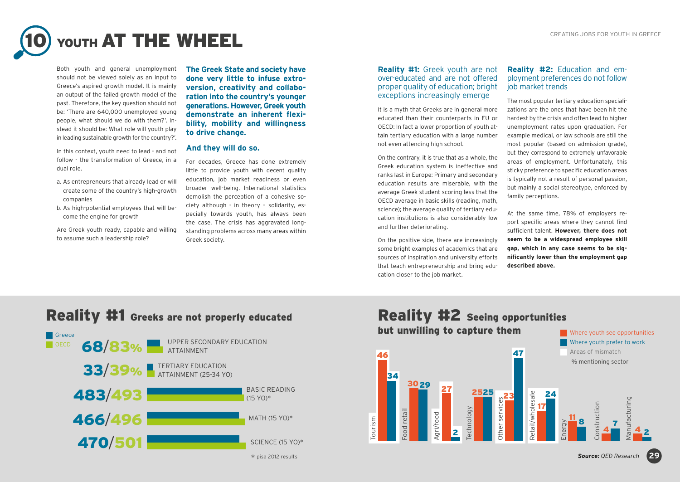

Both youth and general unemployment should not be viewed solely as an input to Greece's aspired growth model. It is mainly an output of the failed growth model of the past. Therefore, the key question should not be: 'There are 640,000 unemployed young people, what should we do with them?'. Instead it should be: What role will youth play in leading sustainable growth for the country?'.

In this context, youth need to lead - and not follow - the transformation of Greece, in a dual role.

- a. As entrepreneurs that already lead or will create some of the country's high-growth companies
- b. As high-potential employees that will become the engine for growth

Are Greek youth ready, capable and willing to assume such a leadership role?

**The Greek State and society have done very little to infuse extroversion, creativity and collaboration into the country's younger generations. However, Greek youth demonstrate an inherent flexibility, mobility and willingness to drive change.** 

#### **And they will do so.**

For decades, Greece has done extremely little to provide youth with decent quality education, job market readiness or even broader well-being. International statistics demolish the perception of a cohesive society although - in theory – solidarity, especially towards youth, has always been the case. The crisis has aggravated longstanding problems across many areas within Greek society.

#### **Reality #1:** Greek youth are not over-educated and are not offered proper quality of education; bright exceptions increasingly emerge

It is a myth that Greeks are in general more educated than their counterparts in EU or OECD: In fact a lower proportion of youth attain tertiary education with a large number not even attending high school.

On the contrary, it is true that as a whole, the Greek education system is ineffective and ranks last in Europe: Primary and secondary education results are miserable, with the average Greek student scoring less that the OECD average in basic skills (reading, math, science); the average quality of tertiary education institutions is also considerably low and further deteriorating.

On the positive side, there are increasingly some bright examples of academics that are sources of inspiration and university efforts that teach entrepreneurship and bring education closer to the job market.

#### **Reality #2:** Education and employment preferences do not follow job market trends

The most popular tertiary education specializations are the ones that have been hit the hardest by the crisis and often lead to higher unemployment rates upon graduation. For example medical, or law schools are still the most popular (based on admission grade), but they correspond to extremely unfavorable areas of employment. Unfortunately, this sticky preference to specific education areas is typically not a result of personal passion, but mainly a social stereotype, enforced by family perceptions.

At the same time, 78% of employers report specific areas where they cannot find sufficient talent. **However, there does not seem to be a widespread employee skill gap, which in any case seems to be significantly lower than the employment gap described above.** 

### Reality #1 Greeks are not properly educated Reality #2 Seeing opportunities





#### *Source: QED Research*

**29**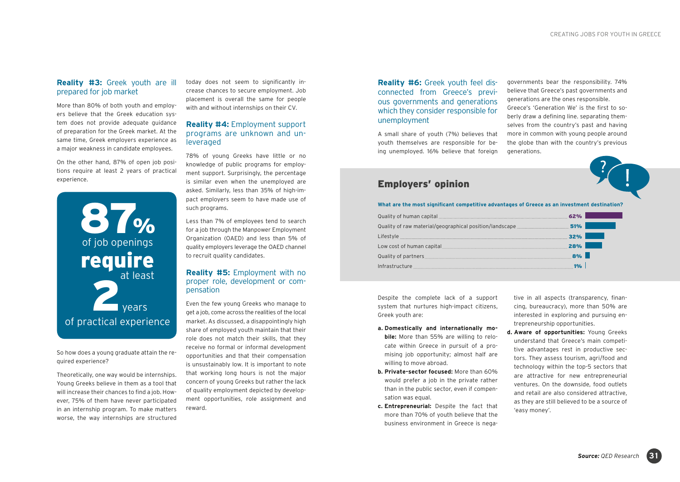#### **Reality #3:** Greek youth are ill prepared for job market

More than 80% of both youth and employers believe that the Greek education system does not provide adequate guidance of preparation for the Greek market. At the same time, Greek employers experience as a major weakness in candidate employees.

On the other hand, 87% of open job positions require at least 2 years of practical experience.



So how does a young graduate attain the required experience?

Theoretically, one way would be internships. Young Greeks believe in them as a tool that will increase their chances to find a job. However, 75% of them have never participated in an internship program. To make matters worse, the way internships are structured

today does not seem to significantly increase chances to secure employment. Job placement is overall the same for people with and without internships on their CV.

#### **Reality #4:** Employment support programs are unknown and unleveraged

78% of young Greeks have little or no knowledge of public programs for employment support. Surprisingly, the percentage is similar even when the unemployed are asked. Similarly, less than 35% of high-impact employers seem to have made use of such programs.

Less than 7% of employees tend to search for a job through the Manpower Employment Organization (OAED) and less than 5% of quality employers leverage the OAED channel to recruit quality candidates.

#### **Reality #5:** Employment with no proper role, development or compensation

Even the few young Greeks who manage to get a job, come across the realities of the local market. As discussed, a disappointingly high share of employed youth maintain that their role does not match their skills, that they receive no formal or informal development opportunities and that their compensation is unsustainably low. It is important to note that working long hours is not the major concern of young Greeks but rather the lack of quality employment depicted by development opportunities, role assignment and reward.

#### **Reality #6:** Greek youth feel disconnected from Greece's previous governments and generations which they consider responsible for unemployment

A small share of youth (7%) believes that youth themselves are responsible for being unemployed. 16% believe that foreign

governments bear the responsibility. 74% believe that Greece's past governments and generations are the ones responsible. Greece's 'Generation We' is the first to soberly draw a defining line. separating themselves from the country's past and having more in common with young people around the globe than with the country's previous generations.

#### Employers' opinion

**What are the most significant competitive advantages of Greece as an investment destination?**

| <b>Quality of raw material/geographical position/landscape</b> <u>_____________________________51%</u>                                                                                                                             |     |  |
|------------------------------------------------------------------------------------------------------------------------------------------------------------------------------------------------------------------------------------|-----|--|
| Lifestyle                                                                                                                                                                                                                          | 32% |  |
|                                                                                                                                                                                                                                    | 28% |  |
| Quality of partners <b>continues</b> and the continues and the continues and the continuum of the continuum of the continuum of the continuum of the continuum of the continuum of the continuum of the continuum of the continuum | 8%  |  |
| Infrastructure                                                                                                                                                                                                                     |     |  |

Despite the complete lack of a support system that nurtures high-impact citizens, Greek youth are:

- **a. Domestically and internationally mobile:** More than 55% are willing to relocate within Greece in pursuit of a promising job opportunity; almost half are willing to move abroad.
- **b. Private-sector focused:** More than 60% would prefer a job in the private rather than in the public sector, even if compensation was equal.
- **c. Entrepreneurial:** Despite the fact that more than 70% of youth believe that the business environment in Greece is nega-

tive in all aspects (transparency, financing, bureaucracy), more than 50% are interested in exploring and pursuing entrepreneurship opportunities.

**d. Aware of opportunities:** Young Greeks understand that Greece's main competitive advantages rest in productive sectors. They assess tourism, agri/food and technology within the top-5 sectors that are attractive for new entrepreneurial ventures. On the downside, food outlets and retail are also considered attractive, as they are still believed to be a source of 'easy money'.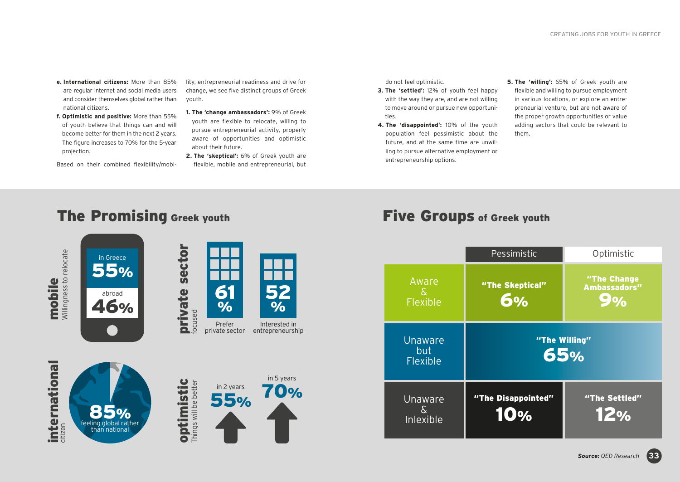- **e. International citizens:** More than 85% are regular internet and social media users and consider themselves global rather than national citizens.
- **f. Optimistic and positive:** More than 55% of youth believe that things can and will become better for them in the next 2 years. The figure increases to 70% for the 5-year projection.
- Based on their combined flexibility/mobi-

lity, entrepreneurial readiness and drive for change, we see five distinct groups of Greek youth.

- **1. The 'change ambassadors':** 9% of Greek youth are flexible to relocate, willing to pursue entrepreneurial activity, properly aware of opportunities and optimistic about their future.
- **2. The 'skeptical':** 6% of Greek youth are flexible, mobile and entrepreneurial, but

do not feel optimistic.

- **3. The 'settled':** 12% of youth feel happy with the way they are, and are not willing to move around or pursue new opportunities.
- **4. The 'disappointed':** 10% of the youth population feel pessimistic about the future, and at the same time are unwilling to pursue alternative employment or entrepreneurship options.
- **5. The 'willing':** 65% of Greek youth are flexible and willing to pursue employment in various locations, or explore an entrepreneurial venture, but are not aware of the proper growth opportunities or value adding sectors that could be relevant to them.

### The Promising Greek youth Five Groups of Greek youth



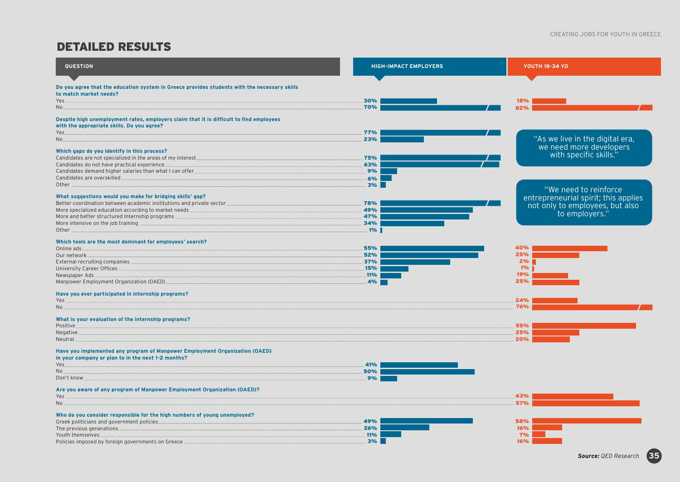### DETAILED RESULTS

| <b>QUESTION</b>                                                                              | <b>HIGH-IMPACT EMPLOYERS</b> | <b>YOUTH 18-34 YO</b>                                                                     |
|----------------------------------------------------------------------------------------------|------------------------------|-------------------------------------------------------------------------------------------|
|                                                                                              |                              |                                                                                           |
| Do you agree that the education system in Greece provides students with the necessary skills |                              |                                                                                           |
| to match market needs?                                                                       |                              |                                                                                           |
| Yes.                                                                                         | 30%                          | 18%                                                                                       |
| No.                                                                                          | 70%                          | 82%                                                                                       |
| Despite high unemployment rates, employers claim that it is difficult to find employees      |                              |                                                                                           |
| with the appropriate skills. Do you agree?                                                   |                              |                                                                                           |
| Yes.                                                                                         | 77%                          |                                                                                           |
| No.                                                                                          | 23%                          | "As we live in the digital era,                                                           |
| Which gaps do you identify in this process?                                                  |                              | we need more developers<br>"with specific skills."                                        |
| Candidates are not specialized in the areas of my interest.                                  | 75%                          |                                                                                           |
| Candidates do not have practical experience.                                                 | 63%                          |                                                                                           |
| Candidates demand higher salaries than what I can offer                                      | 9%                           |                                                                                           |
| Candidates are overskilled                                                                   | 6%                           |                                                                                           |
| Other                                                                                        | 3%                           |                                                                                           |
|                                                                                              |                              | "We need to reinforce                                                                     |
| What suggestions would you make for bridging skills' gap?                                    |                              | entrepreneurial spirit; this applies<br>not only to employees, but also<br>to employers." |
| Better coordination between academic institutions and private sector                         | 78%                          |                                                                                           |
| More specialized education according to market needs                                         | 49%                          |                                                                                           |
| More and better structured Internship programs<br>More intensive on the job training         | 47%<br>34%                   |                                                                                           |
| Other                                                                                        | .1%                          |                                                                                           |
|                                                                                              |                              |                                                                                           |
| Which tools are the most dominant for employees' search?                                     |                              |                                                                                           |
| Online ads.                                                                                  | 55%                          | 40%                                                                                       |
| Our network.                                                                                 | 52%                          | 25%                                                                                       |
| External recruiting companies                                                                | 37%                          | 2%<br>$1\%$                                                                               |
| University Career Offices.<br>Newspaper Ads.                                                 | .15%<br>.11%                 | 19%                                                                                       |
| Manpower Employment Organization (OAED).                                                     | .4%                          | 25%                                                                                       |
|                                                                                              |                              |                                                                                           |
| Have you ever participated in internship programs?                                           |                              |                                                                                           |
| Yes                                                                                          |                              | 24%                                                                                       |
| No.                                                                                          |                              | 76%                                                                                       |
| What is your evaluation of the internship programs?                                          |                              |                                                                                           |
| Positive.                                                                                    |                              | 55%                                                                                       |
| Negative                                                                                     |                              | 25%                                                                                       |
| Neutral                                                                                      |                              | 20%                                                                                       |
| Have you implemented any program of Manpower Employment Organization (OAED)                  |                              |                                                                                           |
| in your company or plan to in the next 1-2 months?                                           |                              |                                                                                           |
| Yes.                                                                                         | 41%                          |                                                                                           |
| No.                                                                                          | 50%                          |                                                                                           |
| Don't know                                                                                   | 9%                           |                                                                                           |
|                                                                                              |                              |                                                                                           |
| Are you aware of any program of Manpower Employment Organization (OAED)?<br>Yes              |                              | 43%                                                                                       |
| No.                                                                                          |                              | 57%                                                                                       |
|                                                                                              |                              |                                                                                           |
| Who do you consider responsible for the high numbers of young unemployed?                    | 49%                          | 58%                                                                                       |
| Greek politicians and government policies.<br>The previous generations.                      | 26%                          | 16%                                                                                       |
| Youth themselves                                                                             | <b>11%</b>                   | 7%                                                                                        |
| Policies imposed by foreign governments on Greece.                                           | 3%                           | 16%                                                                                       |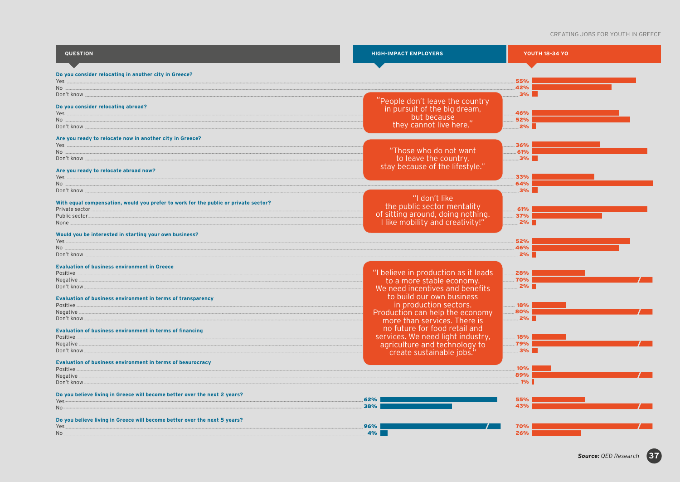#### CREATING JOBS FOR YOUTH IN GREECE

| <b>QUESTION</b>                                                                                                                                                                                                                                                                                                                                                                                                                                                                                                                                                                 | <b>HIGH-IMPACT EMPLOYERS</b>                                                                                                     | <b>YOUTH 18-34 YO</b>                |
|---------------------------------------------------------------------------------------------------------------------------------------------------------------------------------------------------------------------------------------------------------------------------------------------------------------------------------------------------------------------------------------------------------------------------------------------------------------------------------------------------------------------------------------------------------------------------------|----------------------------------------------------------------------------------------------------------------------------------|--------------------------------------|
| Do you consider relocating in another city in Greece?<br>$No$ .<br>Don't know<br>Do you consider relocating abroad?<br>Don't know                                                                                                                                                                                                                                                                                                                                                                                                                                               | People don't leave the country<br>in pursuit of the big dream,<br>but because<br>they cannot live here."                         | 55%<br>42%<br>3%<br>46%<br>52%<br>2% |
| Are you ready to relocate now in another city in Greece?<br>$\hfill\mathsf{NO}\quad\hfill\ldots\hfill\ldots\hfill\ldots\hfill\ldots\hfill\ldots\hfill\ldots\hfill\ldots\hfill\ldots\hfill\ldots\hfill\ldots\hfill\ldots\hfill\ldots\hfill\ldots\hfill\ldots\hfill\ldots\hfill\ldots\hfill\ldots\hfill\ldots\hfill\ldots\hfill\ldots\hfill\ldots\hfill\ldots\hfill\ldots\hfill\ldots\hfill\ldots\hfill\ldots\hfill\ldots\hfill\ldots\hfill\ldots\hfill\ldots\hfill\ldots\hfill\ldots\hfill\ldots\hfill\ldots\hfill\ldots$<br>Don't know<br>Are you ready to relocate abroad now? | "Those who do not want<br>to leave the country,<br>stay because of the lifestyle."                                               | 36%<br>61%<br>3%<br>33%<br>64%       |
| Don't know<br>With equal compensation, would you prefer to work for the public or private sector?<br>Private sector<br>Public sector<br>None<br>Would you be interested in starting your own business?                                                                                                                                                                                                                                                                                                                                                                          | "I don't like<br>the public sector mentality<br>of sitting around, doing nothing.<br>I like mobility and creativity!"            | 3%<br>61%<br>37%<br>2%               |
| No<br>Don't know                                                                                                                                                                                                                                                                                                                                                                                                                                                                                                                                                                |                                                                                                                                  | 52%<br>46%<br>2%                     |
| <b>Evaluation of business environment in Greece</b><br>Positive.<br>Negative<br>Don't know                                                                                                                                                                                                                                                                                                                                                                                                                                                                                      | "I believe in production as it leads<br>to a more stable economy.<br>We need incentives and benefits                             | 28%<br>70%<br>2%                     |
| Evaluation of business environment in terms of transparency<br>Positive.<br>Negative<br>Don't know.                                                                                                                                                                                                                                                                                                                                                                                                                                                                             | to build our own business<br>in production sectors.<br>Production can help the economy<br>more than services. There is           | 18%<br>80%<br>2%                     |
| <b>Evaluation of business environment in terms of financing</b><br>Positive.<br>Negative.<br>Don't know                                                                                                                                                                                                                                                                                                                                                                                                                                                                         | no future for food retail and<br>services. We need light industry,<br>agriculture and technology to<br>create sustainable jobs.' | 18%<br>79%<br>3%                     |
| <b>Evaluation of business environment in terms of beaurocracy</b><br>Positive.<br>Negative.<br>Don't know                                                                                                                                                                                                                                                                                                                                                                                                                                                                       |                                                                                                                                  | 10%<br>89%<br>1%                     |
| Do you believe living in Greece will become better over the next 2 years?<br>Yes<br>No.                                                                                                                                                                                                                                                                                                                                                                                                                                                                                         | 62%<br>38%                                                                                                                       | 55%<br>43%                           |
| Do you believe living in Greece will become better over the next 5 years?<br>Yes.<br>No.                                                                                                                                                                                                                                                                                                                                                                                                                                                                                        | 96%<br>4%                                                                                                                        | 70%<br>26%                           |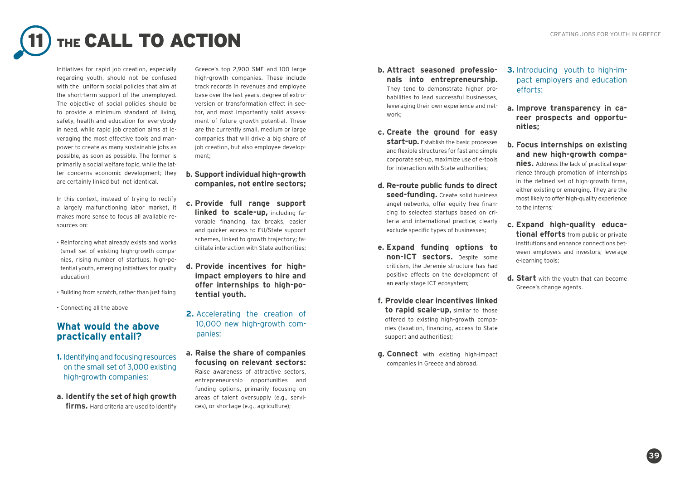## THE CALL TO ACTION **CREATING JOBS FOR YOUTH IN GREECE**

Initiatives for rapid job creation, especially regarding youth, should not be confused with the uniform social policies that aim at the short-term support of the unemployed. The objective of social policies should be to provide a minimum standard of living, safety, health and education for everybody in need, while rapid job creation aims at leveraging the most effective tools and manpower to create as many sustainable jobs as possible, as soon as possible. The former is primarily a social welfare topic, while the latter concerns economic development; they are certainly linked but not identical.

In this context, instead of trying to rectify a largely malfunctioning labor market, it makes more sense to focus all available resources on:

- Reinforcing what already exists and works (small set of existing high-growth companies, rising number of startups, high-potential youth, emerging initiatives for quality education)
- Building from scratch, rather than just fixing
- Connecting all the above

#### **What would the above practically entail?**

- **1.** Identifying and focusing resources on the small set of 3,000 existing high-growth companies:
- **a. Identify the set of high growth firms.** Hard criteria are used to identify

Greece's top 2,900 SME and 100 large high-growth companies. These include track records in revenues and employee base over the last years, degree of extroversion or transformation effect in sector, and most importantly solid assessment of future growth potential. These are the currently small, medium or large companies that will drive a big share of job creation, but also employee development;

- **b. Support individual high-growth companies, not entire sectors;**
- **c. Provide full range support linked to scale-up,** including favorable financing, tax breaks, easier and quicker access to EU/State support schemes, linked to growth trajectory; facilitate interaction with State authorities;
- **d. Provide incentives for highimpact employers to hire and offer internships to high-potential youth.**
- **2.** Accelerating the creation of 10,000 new high-growth companies:
- **a. Raise the share of companies focusing on relevant sectors:** Raise awareness of attractive sectors, entrepreneurship opportunities and funding options, primarily focusing on areas of talent oversupply (e.g., services), or shortage (e.g., agriculture);
- **b. Attract seasoned professionals into entrepreneurship.** They tend to demonstrate higher probabilities to lead successful businesses, leveraging their own experience and network;
- **c. Create the ground for easy start-up.** Establish the basic processes and flexible structures for fast and simple corporate set-up, maximize use of e-tools for interaction with State authorities;
- **d. Re-route public funds to direct seed-funding.** Create solid business angel networks, offer equity free financing to selected startups based on criteria and international practice; clearly exclude specific types of businesses;
- **e. Expand funding options to non-ICT sectors.** Despite some criticism, the Jeremie structure has had positive effects on the development of an early-stage ICT ecosystem;
- **f. Provide clear incentives linked to rapid scale-up,** similar to those offered to existing high-growth companies (taxation, financing, access to State support and authorities);
- **g. Connect** with existing high-impact companies in Greece and abroad.
- **3.** Introducing youth to high-impact employers and education efforts:
- **a. Improve transparency in career prospects and opportunities;**
- **b. Focus internships on existing and new high-growth companies.** Address the lack of practical experience through promotion of internships in the defined set of high-growth firms, either existing or emerging. They are the most likely to offer high-quality experience to the interns;
- **c. Expand high-quality educational efforts** from public or private institutions and enhance connections between employers and investors; leverage e-learning tools;
- **d. Start** with the youth that can become Greece's change agents.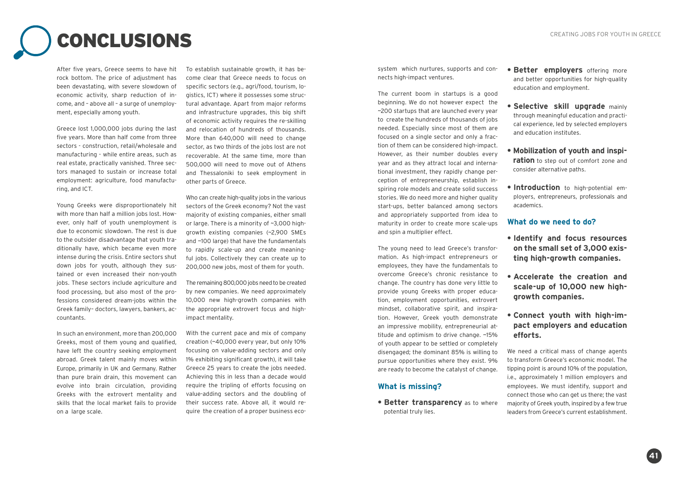## CONCLUSIONS CREATING JOBS FOR YOUTH IN GREECE

After five years, Greece seems to have hit rock bottom. The price of adjustment has been devastating, with severe slowdown of economic activity, sharp reduction of income, and – above all – a surge of unemployment, especially among youth.

Greece lost 1,000,000 jobs during the last five years. More than half come from three sectors - construction, retail/wholesale and manufacturing - while entire areas, such as real estate, practically vanished. Three sectors managed to sustain or increase total employment: agriculture, food manufacturing, and ICT.

Young Greeks were disproportionately hit with more than half a million jobs lost. However, only half of youth unemployment is due to economic slowdown. The rest is due to the outsider disadvantage that youth traditionally have, which became even more intense during the crisis. Entire sectors shut down jobs for youth, although they sustained or even increased their non-youth jobs. These sectors include agriculture and food processing, but also most of the professions considered dream-jobs within the Greek family– doctors, lawyers, bankers, accountants.

In such an environment, more than 200,000 Greeks, most of them young and qualified, have left the country seeking employment abroad. Greek talent mainly moves within Europe, primarily in UK and Germany. Rather than pure brain drain, this movement can evolve into brain circulation, providing Greeks with the extrovert mentality and skills that the local market fails to provide on a large scale.

To establish sustainable growth, it has become clear that Greece needs to focus on specific sectors (e.g., agri/food, tourism, logistics, ICT) where it possesses some structural advantage. Apart from major reforms and infrastructure upgrades, this big shift of economic activity requires the re-skilling and relocation of hundreds of thousands. More than 640,000 will need to change sector, as two thirds of the jobs lost are not recoverable. At the same time, more than 500,000 will need to move out of Athens and Thessaloniki to seek employment in other parts of Greece.

Who can create high-quality jobs in the various sectors of the Greek economy? Not the vast majority of existing companies, either small or large. There is a minority of ~3,000 highgrowth existing companies (~2,900 SMEs and ~100 large) that have the fundamentals to rapidly scale-up and create meaningful jobs. Collectively they can create up to 200,000 new jobs, most of them for youth.

The remaining 800,000 jobs need to be created by new companies. We need approximately 10,000 new high-growth companies with the appropriate extrovert focus and highimpact mentality.

With the current pace and mix of company creation (~40,000 every year, but only 10% focusing on value-adding sectors and only 1% exhibiting significant growth), it will take Greece 25 years to create the jobs needed. Achieving this in less than a decade would require the tripling of efforts focusing on value-adding sectors and the doubling of their success rate. Above all, it would require the creation of a proper business eco-

system which nurtures, supports and connects high-impact ventures.

The current boom in startups is a good beginning. We do not however expect the ~200 startups that are launched every year to create the hundreds of thousands of jobs needed. Especially since most of them are focused on a single sector and only a fraction of them can be considered high-impact. However, as their number doubles every year and as they attract local and international investment, they rapidly change perception of entrepreneurship, establish inspiring role models and create solid success stories. We do need more and higher quality start-ups, better balanced among sectors and appropriately supported from idea to maturity in order to create more scale-ups and spin a multiplier effect.

The young need to lead Greece's transformation. As high-impact entrepreneurs or employees, they have the fundamentals to overcome Greece's chronic resistance to change. The country has done very little to provide young Greeks with proper education, employment opportunities, extrovert mindset, collaborative spirit, and inspiration. However, Greek youth demonstrate an impressive mobility, entrepreneurial attitude and optimism to drive change. ~15% of youth appear to be settled or completely disengaged; the dominant 85% is willing to pursue opportunities where they exist. 9% are ready to become the catalyst of change.

#### **What is missing?**

**• Better transparency** as to where potential truly lies.

- **Better employers** offering more and better opportunities for high-quality education and employment.
- **Selective skill upgrade** mainly through meaningful education and practical experience, led by selected employers and education institutes.
- **Mobilization of youth and inspiration** to step out of comfort zone and consider alternative paths.
- **Introduction** to high-potential employers, entrepreneurs, professionals and academics.

#### **What do we need to do?**

- **Identify and focus resources on the small set of 3,000 existing high-growth companies.**
- **Accelerate the creation and scale-up of 10,000 new highgrowth companies.**

#### **• Connect youth with high-impact employers and education efforts.**

We need a critical mass of change agents to transform Greece's economic model. The tipping point is around 10% of the population, i.e., approximately 1 million employers and employees. We must identify, support and connect those who can get us there; the vast majority of Greek youth, inspired by a few true leaders from Greece's current establishment.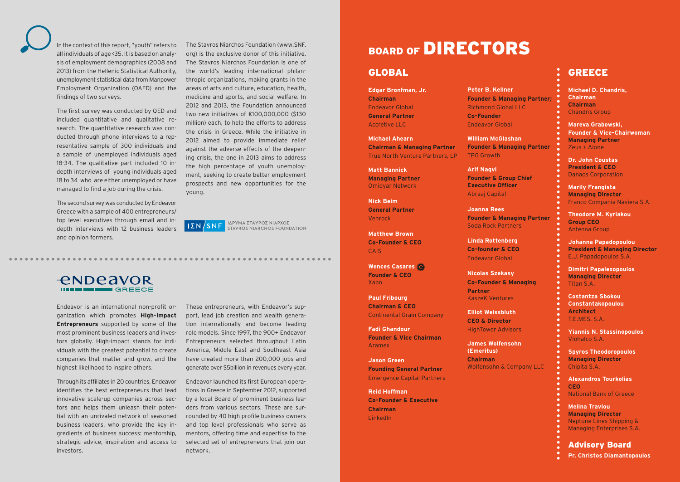In the context of this report, "youth" refers to all individuals of age <35. It is based on analysis of employment demographics (2008 and 2013) from the Hellenic Statistical Authority, unemployment statistical data from Manpower Employment Organization (OAED) and the findings of two surveys.

The first survey was conducted by QED and included quantitative and qualitative research. The quantitative research was conducted through phone interviews to a representative sample of 300 individuals and a sample of unemployed individuals aged 18-34. The qualitative part included 10 indepth interviews of young individuals aged 18 to 34 who are either unemployed or have managed to find a job during the crisis.

The second survey was conducted by Endeavor Greece with a sample of 400 entrepreneurs/ top level executives through email and indepth interviews with 12 business leaders and opinion formers.

The Stavros Niarchos Foundation (www.SNF. org) is the exclusive donor of this initiative. The Stavros Niarchos Foundation is one of the world's leading international philanthropic organizations, making grants in the areas of arts and culture, education, health, medicine and sports, and social welfare. In 2012 and 2013, the Foundation announced two new initiatives of €100,000,000 (\$130 million) each, to help the efforts to address the crisis in Greece. While the initiative in 2012 aimed to provide immediate relief against the adverse effects of the deepening crisis, the one in 2013 aims to address the high percentage of youth unemployment, seeking to create better employment prospects and new opportunities for the young.

ΙΔΡΥΜΑ ΣΤΑΥΡΟΣ ΝΙΑΡΧΟΣ<br>STAVROS NIARCHOS FOUNDATION  $I\Sigma N/SNF$ 

### **ENDEAVOR**

Endeavor is an international non-profit organization which promotes **High-Impact Entrepreneurs** supported by some of the most prominent business leaders and investors globally. High-impact stands for individuals with the greatest potential to create companies that matter and grow, and the highest likelihood to inspire others.

Through its affiliates in 20 countries, Endeavor identifies the best entrepreneurs that lead innovative scale-up companies across sectors and helps them unleash their potential with an unrivaled network of seasoned business leaders, who provide the key ingredients of business success: mentorship, strategic advice, inspiration and access to investors.

These entrepreneurs, with Endeavor's support, lead job creation and wealth generation internationally and become leading role models. Since 1997, the 900+ Endeavor Entrepreneurs selected throughout Latin America, Middle East and Southeast Asia have created more than 200,000 jobs and generate over \$5billion in revenues every year.

Endeavor launched its first European operations in Greece in September 2012, supported by a local Board of prominent business leaders from various sectors. These are surrounded by 40 high profile business owners and top level professionals who serve as mentors, offering time and expertise to the selected set of entrepreneurs that join our network.

### BOARD OF **DIRECTORS**

#### GLOBAL GREECE

**Edgar Bronfman, Jr. Chairman** Endeavor Global **General Partner**  Accretive LLC

**Michael Ahearn Chairman & Managing Partner**  True North Venture Partners, LP

**Matt Bannick Managing Partner**  Omidyar Network

**Nick Beim General Partner**  Venrock

**Matthew Brown Co-Founder & CEO**  CAIS

**Wences Casares Founder & CEO**  Xapo

**Paul Fribourg Chairman & CEO**  Continental Grain Company

**Fadi Ghandour Founder & Vice Chairman** Aramex

**Jason Green Founding General Partner**  Emergence Capital Partners

**Reid Hoffman Co-Founder & Executive Chairman** LinkedIn

**Peter B. Kellner Founder & Managing Partner;**  Richmond Global LLC **Co-Founder** Endeavor Global

**William McGlashan Founder & Managing Partner**  TPG Growth

**Arif Naqvi Founder & Group Chief Executive Officer**  Abraaj Capital

**Joanna Rees Founder & Managing Partner**  Soda Rock Partners

**Linda Rottenberg Co-founder & CEO** Endeavor Global

**Nicolas Szekasy Co-Founder & Managing Partner** KaszeK Ventures

**Elliot Weissbluth CEO & Director** 

HighTower Advisors **James Wolfensohn**

**(Emeritus) Chairman** 

Wolfensohn & Company LLC

**Alexandros Tourkolias CEO** National Bank of Greece

**Michael D. Chandris,**

**Mareva Grabowski,**

**Managing Partner** Zeus + Δione

**Dr. John Coustas President & CEO** Danaos Corporation **Marily Frangista Managing Director**

**Founder & Vice-Chairwoman**

Franco Compania Naviera S.A.

**Theodore M. Kyriakou**

**Johanna Papadopoulou President & Managing Director**

E.J. Papadopoulos S.A. **Dimitri Papalexopoulos Managing Director**

**Costantza Sbokou Constantakopoulou**

**Yiannis N. Stassinopoulos**

**Spyros Theodoropoulos Managing Director** Chipita S.A.

**Group CEO** Antenna Group

Titan S.A.

**Architect**  T.E.MES. S.A.

Viohalco S.A.

**Chairman Chairman** Chandris Group

**Melina Travlou**

- **Managing Director**
- Neptune Lines Shipping &
- Managing Enterprises S.A.

Advisory Board

**Pr. Christos Diamantopoulos**